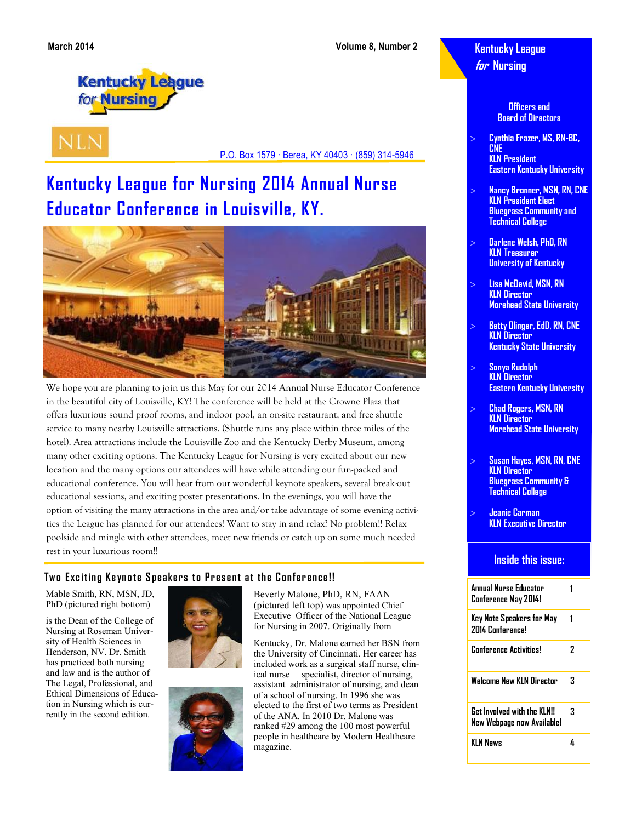**Kentucky League for Nursing**

**Kentucky League** for **Nursing** 

**NLN** 

P.O. Box 1579 · Berea, KY 40403 · (859) 314-5946

# **Kentucky League for Nursing 2014 Annual Nurse Educator Conference in Louisville, KY.**



We hope you are planning to join us this May for our 2014 Annual Nurse Educator Conference in the beautiful city of Louisville, KY! The conference will be held at the Crowne Plaza that offers luxurious sound proof rooms, and indoor pool, an on-site restaurant, and free shuttle service to many nearby Louisville attractions. (Shuttle runs any place within three miles of the hotel). Area attractions include the Louisville Zoo and the Kentucky Derby Museum, among many other exciting options. The Kentucky League for Nursing is very excited about our new location and the many options our attendees will have while attending our fun-packed and educational conference. You will hear from our wonderful keynote speakers, several break-out educational sessions, and exciting poster presentations. In the evenings, you will have the option of visiting the many attractions in the area and/or take advantage of some evening activities the League has planned for our attendees! Want to stay in and relax? No problem!! Relax poolside and mingle with other attendees, meet new friends or catch up on some much needed rest in your luxurious room!!

### **Two Exciting Keynote Speakers to Present at the Conference!!**

Mable Smith, RN, MSN, JD, PhD (pictured right bottom)

is the Dean of the College of Nursing at Roseman University of Health Sciences in Henderson, NV. Dr. Smith has practiced both nursing and law and is the author of The Legal, Professional, and Ethical Dimensions of Education in Nursing which is currently in the second edition.





Beverly Malone, PhD, RN, FAAN (pictured left top) was appointed Chief Executive Officer of the National League for Nursing in 2007. Originally from

Kentucky, Dr. Malone earned her BSN from the University of Cincinnati. Her career has included work as a surgical staff nurse, clinical nurse specialist, director of nursing, assistant administrator of nursing, and dean of a school of nursing. In 1996 she was elected to the first of two terms as President of the ANA. In 2010 Dr. Malone was ranked #29 among the 100 most powerful people in healthcare by Modern Healthcare magazine.

**Officers and Board of Directors**

- **Cynthia Frazer, MS, RN-BC, CNE KLN President Eastern Kentucky University**
- **Nancy Bronner, MSN, RN, CNE KLN President Elect Bluegrass Community and Technical College**
- **Darlene Welsh, PhD, RN KLN Treasurer University of Kentucky**
- **Lisa McDavid, MSN, RN KLN Director Morehead State University**
- **Betty Olinger, EdD, RN, CNE KLN Director Kentucky State University**
- **Sonya Rudolph KLN Director Eastern Kentucky University**
- **Chad Rogers, MSN, RN KLN Director Morehead State University**
- **Susan Hayes, MSN, RN, CNE KLN Director Bluegrass Community & Technical College**
	- **Jeanie Carman KLN Executive Director**

#### **Inside this issue:**

| Annual Nurse Educator<br>Conference May 2014!                   |   |
|-----------------------------------------------------------------|---|
| Key Note Speakers for May<br>2014 Conference!                   |   |
| <b>Conference Activities!</b>                                   | 7 |
| <b>Welcome New KLN Director</b>                                 | З |
| <b>Get Involved with the KLNU</b><br>New Webpage now Available! | 3 |
| KIN News                                                        | h |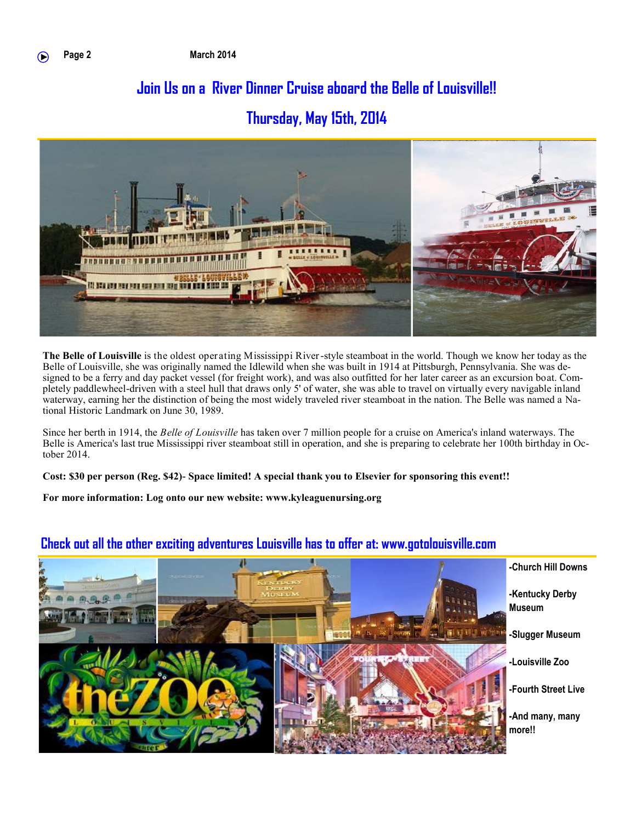# **Join Us on a River Dinner Cruise aboard the Belle of Louisville!!**

# **Thursday, May 15th, 2014**



**The Belle of Louisville** is the oldest operating Mississippi River-style steamboat in the world. Though we know her today as the Belle of Louisville, she was originally named the Idlewild when she was built in 1914 at Pittsburgh, Pennsylvania. She was designed to be a ferry and day packet vessel (for freight work), and was also outfitted for her later career as an excursion boat. Completely paddlewheel-driven with a steel hull that draws only 5' of water, she was able to travel on virtually every navigable inland waterway, earning her the distinction of being the most widely traveled river steamboat in the nation. The Belle was named a National Historic Landmark on June 30, 1989.

Since her berth in 1914, the *Belle of Louisville* has taken over 7 million people for a cruise on America's inland waterways. The Belle is America's last true Mississippi river steamboat still in operation, and she is preparing to celebrate her 100th birthday in October 2014.

**Cost: \$30 per person (Reg. \$42)- Space limited! A special thank you to Elsevier for sponsoring this event!!**

**For more information: Log onto our new website: www.kyleaguenursing.org**



## **Check out all the other exciting adventures Louisville has to offer at: www.gotolouisville.com**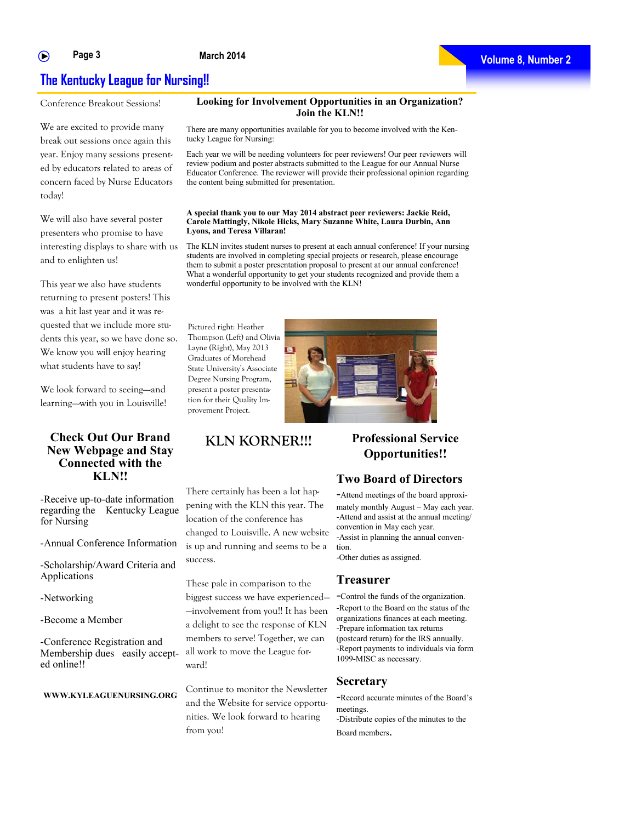#### **Page 3** ∩

**March 2014**



## **The Kentucky League for Nursing!!**

Conference Breakout Sessions!

We are excited to provide many break out sessions once again this year. Enjoy many sessions presented by educators related to areas of concern faced by Nurse Educators today!

We will also have several poster presenters who promise to have interesting displays to share with us and to enlighten us!

This year we also have students returning to present posters! This was a hit last year and it was requested that we include more students this year, so we have done so. We know you will enjoy hearing what students have to say!

We look forward to seeing-and learning—-with you in Louisville!

#### **Check Out Our Brand New Webpage and Stay Connected with the KLN!!**

-Receive up-to-date information regarding the Kentucky League for Nursing

-Annual Conference Information

-Scholarship/Award Criteria and Applications

-Networking

-Become a Member

-Conference Registration and Membership dues easily accepted online!!

#### **WWW.KYLEAGUENURSING.ORG**

There are many opportunities available for you to become involved with the Kentucky League for Nursing:

**Join the KLN!!**

Each year we will be needing volunteers for peer reviewers! Our peer reviewers will review podium and poster abstracts submitted to the League for our Annual Nurse Educator Conference. The reviewer will provide their professional opinion regarding the content being submitted for presentation.

#### **A special thank you to our May 2014 abstract peer reviewers: Jackie Reid, Carole Mattingly, Nikole Hicks, Mary Suzanne White, Laura Durbin, Ann Lyons, and Teresa Villaran!**

The KLN invites student nurses to present at each annual conference! If your nursing students are involved in completing special projects or research, please encourage them to submit a poster presentation proposal to present at our annual conference! What a wonderful opportunity to get your students recognized and provide them a wonderful opportunity to be involved with the KLN!

Pictured right: Heather Thompson (Left) and Olivia Layne (Right), May 2013 Graduates of Morehead State University's Associate Degree Nursing Program, present a poster presentation for their Quality Improvement Project.



## **KLN KORNER!!! Professional Service**

There certainly has been a lot happening with the KLN this year. The location of the conference has changed to Louisville. A new website is up and running and seems to be a success.

These pale in comparison to the biggest success we have experienced— —involvement from you!! It has been a delight to see the response of KLN members to serve! Together, we can all work to move the League forward!

Continue to monitor the Newsletter and the Website for service opportunities. We look forward to hearing from you!

# **Opportunities!!**

#### **Two Board of Directors**

-Attend meetings of the board approximately monthly August – May each year. -Attend and assist at the annual meeting/ convention in May each year. -Assist in planning the annual convention. -Other duties as assigned.

#### **Treasurer**

-Control the funds of the organization. -Report to the Board on the status of the organizations finances at each meeting. -Prepare information tax returns (postcard return) for the IRS annually. -Report payments to individuals via form 1099-MISC as necessary.

#### **Secretary**

-Record accurate minutes of the Board's meetings. -Distribute copies of the minutes to the Board members.

**Looking for Involvement Opportunities in an Organization?**